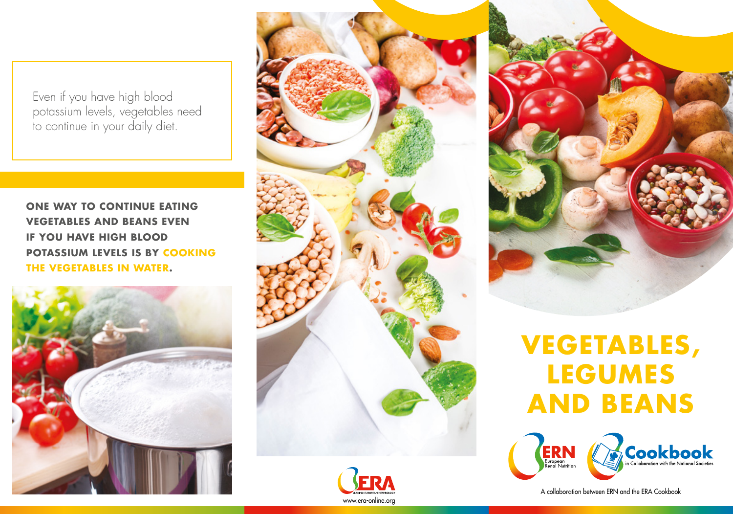Even if you have high blood potassium levels, vegetables need to continue in your daily diet.

**ONE WAY TO CONTINUE EATING VEGETABLES AND BEANS EVEN IF YOU HAVE HIGH BLOOD POTASSIUM LEVELS IS BY COOKING THE VEGETABLES IN WATER.**





www.era-online.org



## **VEGETABLES, LEGUMES AND BEANS**



A collaboration between ERN and the ERA Cookbook